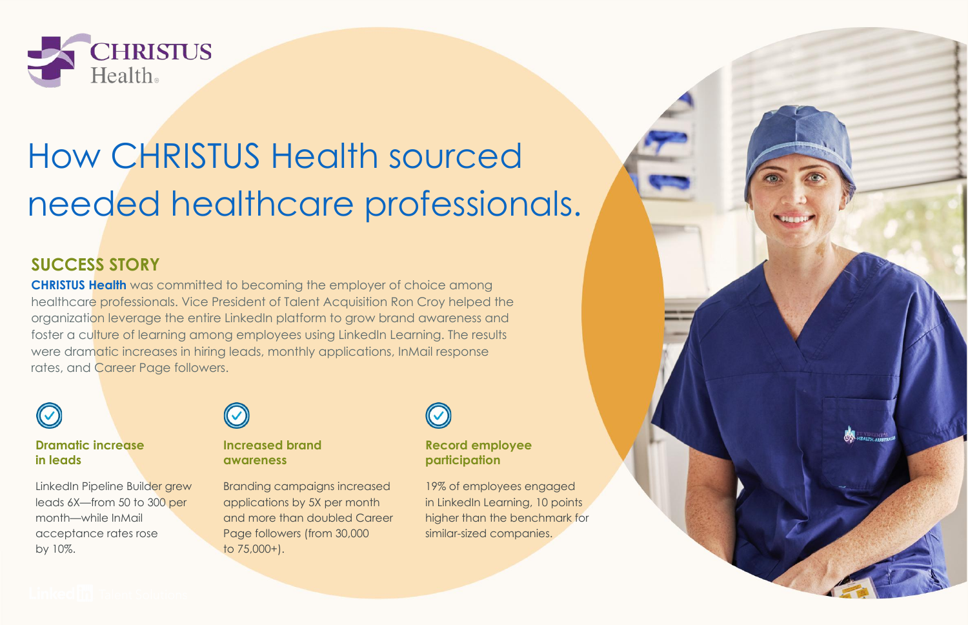

# How CHRISTUS Health sourced needed healthcare professionals.

### **SUCCESS STORY**

**[CHRISTUS Health](https://www.linkedin.com/company/christus-health/)** was committed to becoming the employer of choice among healthcare professionals. Vice President of Talent Acquisition Ron Croy helped the organization leverage the entire LinkedIn platform to grow brand awareness and foster a culture of learning among employees using LinkedIn Learning. The results were dramatic increases in hiring leads, monthly applications, InMail response rates, and Career Page followers.

#### **Dramatic increase in leads**

LinkedIn Pipeline Builder grew leads 6X—from 50 to 300 per month—while InMail acceptance rates rose by 10%.



#### **Increased brand awareness**

Branding campaigns increased applications by 5X per month and more than doubled Career Page followers (from 30,000 to 75,000+).



#### **Record employee participation**

19% of employees engaged in LinkedIn Learning, 10 points higher than the benchmark for similar-sized companies.